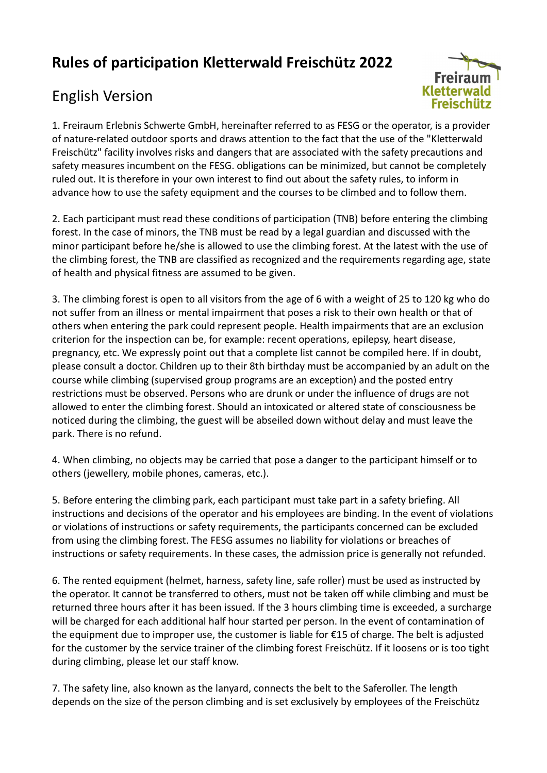## Rules of participation Kletterwald Freischütz 2022

## English Version



1. Freiraum Erlebnis Schwerte GmbH, hereinafter referred to as FESG or the operator, is a provider of nature-related outdoor sports and draws attention to the fact that the use of the "Kletterwald Freischütz" facility involves risks and dangers that are associated with the safety precautions and safety measures incumbent on the FESG. obligations can be minimized, but cannot be completely ruled out. It is therefore in your own interest to find out about the safety rules, to inform in advance how to use the safety equipment and the courses to be climbed and to follow them.

2. Each participant must read these conditions of participation (TNB) before entering the climbing forest. In the case of minors, the TNB must be read by a legal guardian and discussed with the minor participant before he/she is allowed to use the climbing forest. At the latest with the use of the climbing forest, the TNB are classified as recognized and the requirements regarding age, state of health and physical fitness are assumed to be given.

3. The climbing forest is open to all visitors from the age of 6 with a weight of 25 to 120 kg who do not suffer from an illness or mental impairment that poses a risk to their own health or that of others when entering the park could represent people. Health impairments that are an exclusion criterion for the inspection can be, for example: recent operations, epilepsy, heart disease, pregnancy, etc. We expressly point out that a complete list cannot be compiled here. If in doubt, please consult a doctor. Children up to their 8th birthday must be accompanied by an adult on the course while climbing (supervised group programs are an exception) and the posted entry restrictions must be observed. Persons who are drunk or under the influence of drugs are not allowed to enter the climbing forest. Should an intoxicated or altered state of consciousness be noticed during the climbing, the guest will be abseiled down without delay and must leave the park. There is no refund.

4. When climbing, no objects may be carried that pose a danger to the participant himself or to others (jewellery, mobile phones, cameras, etc.).

5. Before entering the climbing park, each participant must take part in a safety briefing. All instructions and decisions of the operator and his employees are binding. In the event of violations or violations of instructions or safety requirements, the participants concerned can be excluded from using the climbing forest. The FESG assumes no liability for violations or breaches of instructions or safety requirements. In these cases, the admission price is generally not refunded.

6. The rented equipment (helmet, harness, safety line, safe roller) must be used as instructed by the operator. It cannot be transferred to others, must not be taken off while climbing and must be returned three hours after it has been issued. If the 3 hours climbing time is exceeded, a surcharge will be charged for each additional half hour started per person. In the event of contamination of the equipment due to improper use, the customer is liable for €15 of charge. The belt is adjusted for the customer by the service trainer of the climbing forest Freischütz. If it loosens or is too tight during climbing, please let our staff know.

7. The safety line, also known as the lanyard, connects the belt to the Saferoller. The length depends on the size of the person climbing and is set exclusively by employees of the Freischütz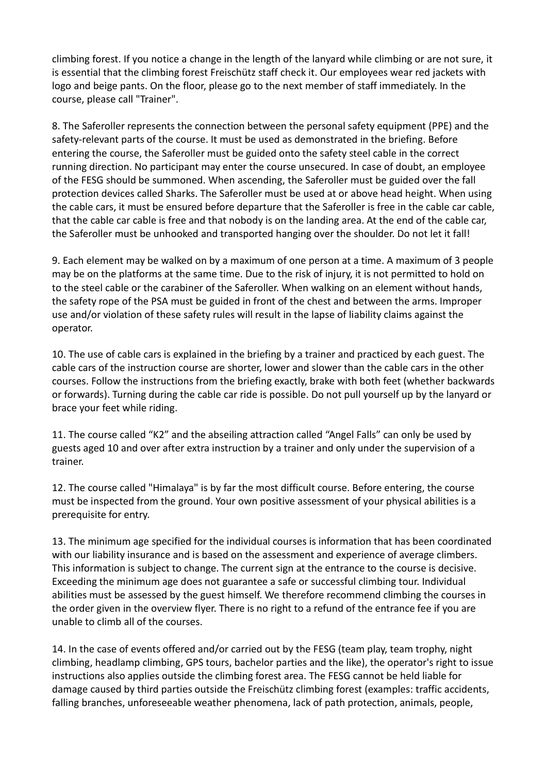climbing forest. If you notice a change in the length of the lanyard while climbing or are not sure, it is essential that the climbing forest Freischütz staff check it. Our employees wear red jackets with logo and beige pants. On the floor, please go to the next member of staff immediately. In the course, please call "Trainer".

8. The Saferoller represents the connection between the personal safety equipment (PPE) and the safety-relevant parts of the course. It must be used as demonstrated in the briefing. Before entering the course, the Saferoller must be guided onto the safety steel cable in the correct running direction. No participant may enter the course unsecured. In case of doubt, an employee of the FESG should be summoned. When ascending, the Saferoller must be guided over the fall protection devices called Sharks. The Saferoller must be used at or above head height. When using the cable cars, it must be ensured before departure that the Saferoller is free in the cable car cable, that the cable car cable is free and that nobody is on the landing area. At the end of the cable car, the Saferoller must be unhooked and transported hanging over the shoulder. Do not let it fall!

9. Each element may be walked on by a maximum of one person at a time. A maximum of 3 people may be on the platforms at the same time. Due to the risk of injury, it is not permitted to hold on to the steel cable or the carabiner of the Saferoller. When walking on an element without hands, the safety rope of the PSA must be guided in front of the chest and between the arms. Improper use and/or violation of these safety rules will result in the lapse of liability claims against the operator.

10. The use of cable cars is explained in the briefing by a trainer and practiced by each guest. The cable cars of the instruction course are shorter, lower and slower than the cable cars in the other courses. Follow the instructions from the briefing exactly, brake with both feet (whether backwards or forwards). Turning during the cable car ride is possible. Do not pull yourself up by the lanyard or brace your feet while riding.

11. The course called "K2" and the abseiling attraction called "Angel Falls" can only be used by guests aged 10 and over after extra instruction by a trainer and only under the supervision of a trainer.

12. The course called "Himalaya" is by far the most difficult course. Before entering, the course must be inspected from the ground. Your own positive assessment of your physical abilities is a prerequisite for entry.

13. The minimum age specified for the individual courses is information that has been coordinated with our liability insurance and is based on the assessment and experience of average climbers. This information is subject to change. The current sign at the entrance to the course is decisive. Exceeding the minimum age does not guarantee a safe or successful climbing tour. Individual abilities must be assessed by the guest himself. We therefore recommend climbing the courses in the order given in the overview flyer. There is no right to a refund of the entrance fee if you are unable to climb all of the courses.

14. In the case of events offered and/or carried out by the FESG (team play, team trophy, night climbing, headlamp climbing, GPS tours, bachelor parties and the like), the operator's right to issue instructions also applies outside the climbing forest area. The FESG cannot be held liable for damage caused by third parties outside the Freischütz climbing forest (examples: traffic accidents, falling branches, unforeseeable weather phenomena, lack of path protection, animals, people,